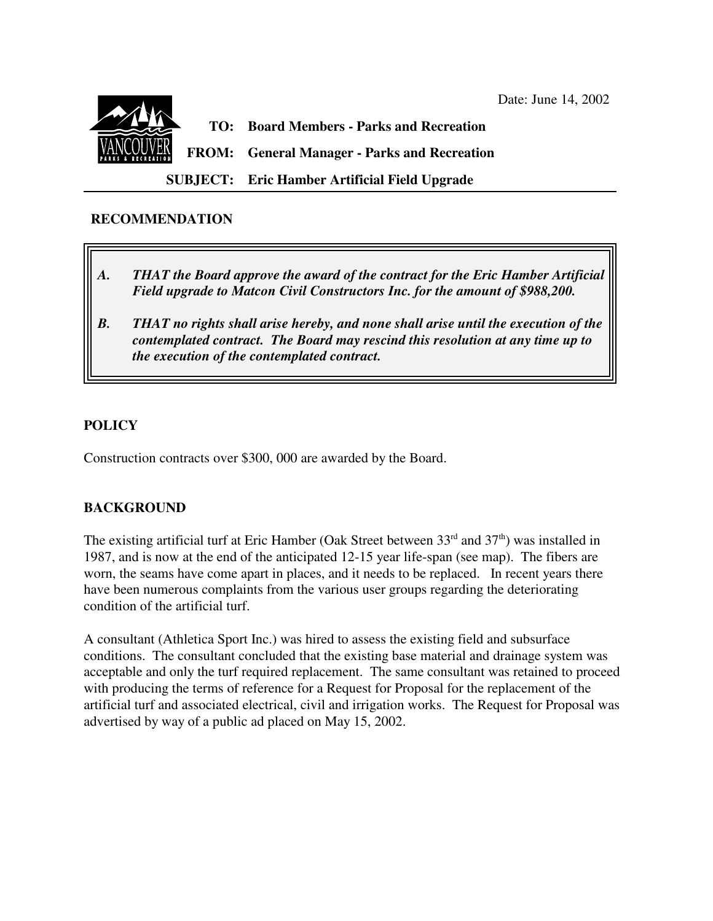

#### **RECOMMENDATION**

- *A. THAT the Board approve the award of the contract for the Eric Hamber Artificial Field upgrade to Matcon Civil Constructors Inc. for the amount of \$988,200.*
- *B. THAT no rights shall arise hereby, and none shall arise until the execution of the contemplated contract. The Board may rescind this resolution at any time up to the execution of the contemplated contract.*

### **POLICY**

 $\overline{\phantom{a}}$ 

Construction contracts over \$300, 000 are awarded by the Board.

### **BACKGROUND**

The existing artificial turf at Eric Hamber (Oak Street between  $33<sup>rd</sup>$  and  $37<sup>th</sup>$ ) was installed in 1987, and is now at the end of the anticipated 12-15 year life-span (see map). The fibers are worn, the seams have come apart in places, and it needs to be replaced. In recent years there have been numerous complaints from the various user groups regarding the deteriorating condition of the artificial turf.

A consultant (Athletica Sport Inc.) was hired to assess the existing field and subsurface conditions. The consultant concluded that the existing base material and drainage system was acceptable and only the turf required replacement. The same consultant was retained to proceed with producing the terms of reference for a Request for Proposal for the replacement of the artificial turf and associated electrical, civil and irrigation works. The Request for Proposal was advertised by way of a public ad placed on May 15, 2002.